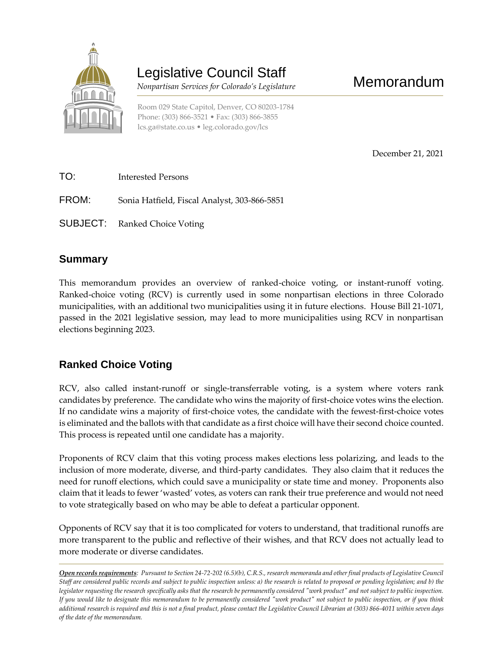

# Legislative Council Staff

 *Nonpartisan Services for Colorado's Legislature*

Room 029 State Capitol, Denver, CO 80203-1784 Phone: (303) 866-3521 • Fax: (303) 866-3855 [lcs.ga@state.co.us](mailto:lcs.ga@state.co.us) • [leg.colorado.gov/lcs](http://leg.colorado.gov/lcs)

December 21, 2021

| TO:   | Interested Persons                           |
|-------|----------------------------------------------|
| FROM: | Sonia Hatfield, Fiscal Analyst, 303-866-5851 |
|       | <b>SUBJECT:</b> Ranked Choice Voting         |

### **Summary**

This memorandum provides an overview of ranked-choice voting, or instant-runoff voting. Ranked-choice voting (RCV) is currently used in some nonpartisan elections in three Colorado municipalities, with an additional two municipalities using it in future elections. House Bill 21-1071, passed in the 2021 legislative session, may lead to more municipalities using RCV in nonpartisan elections beginning 2023.

# **Ranked Choice Voting**

RCV, also called instant-runoff or single-transferrable voting, is a system where voters rank candidates by preference. The candidate who wins the majority of first-choice votes wins the election. If no candidate wins a majority of first-choice votes, the candidate with the fewest-first-choice votes is eliminated and the ballots with that candidate as a first choice will have their second choice counted. This process is repeated until one candidate has a majority.

Proponents of RCV claim that this voting process makes elections less polarizing, and leads to the inclusion of more moderate, diverse, and third-party candidates. They also claim that it reduces the need for runoff elections, which could save a municipality or state time and money. Proponents also claim that it leads to fewer 'wasted' votes, as voters can rank their true preference and would not need to vote strategically based on who may be able to defeat a particular opponent.

Opponents of RCV say that it is too complicated for voters to understand, that traditional runoffs are more transparent to the public and reflective of their wishes, and that RCV does not actually lead to more moderate or diverse candidates.

*Open records requirements: Pursuant to Section 24-72-202 (6.5)(b), C.R.S., research memoranda and other final products of Legislative Council Staff are considered public records and subject to public inspection unless: a) the research is related to proposed or pending legislation; and b) the legislator requesting the research specifically asks that the research be permanently considered "work product" and not subject to public inspection. If you would like to designate this memorandum to be permanently considered "work product" not subject to public inspection, or if you think additional research is required and this is not a final product, please contact the Legislative Council Librarian at (303) 866-4011 within seven days of the date of the memorandum.*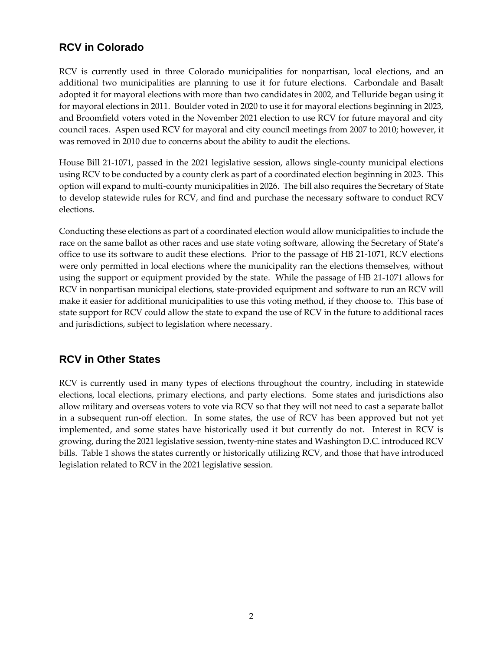# **RCV in Colorado**

RCV is currently used in three Colorado municipalities for nonpartisan, local elections, and an additional two municipalities are planning to use it for future elections. Carbondale and Basalt adopted it for mayoral elections with more than two candidates in 2002, and Telluride began using it for mayoral elections in 2011. Boulder voted in 2020 to use it for mayoral elections beginning in 2023, and Broomfield voters voted in the November 2021 election to use RCV for future mayoral and city council races. Aspen used RCV for mayoral and city council meetings from 2007 to 2010; however, it was removed in 2010 due to concerns about the ability to audit the elections.

House Bill 21-1071, passed in the 2021 legislative session, allows single-county municipal elections using RCV to be conducted by a county clerk as part of a coordinated election beginning in 2023. This option will expand to multi-county municipalities in 2026. The bill also requires the Secretary of State to develop statewide rules for RCV, and find and purchase the necessary software to conduct RCV elections.

Conducting these elections as part of a coordinated election would allow municipalities to include the race on the same ballot as other races and use state voting software, allowing the Secretary of State's office to use its software to audit these elections. Prior to the passage of HB 21-1071, RCV elections were only permitted in local elections where the municipality ran the elections themselves, without using the support or equipment provided by the state. While the passage of HB 21-1071 allows for RCV in nonpartisan municipal elections, state-provided equipment and software to run an RCV will make it easier for additional municipalities to use this voting method, if they choose to. This base of state support for RCV could allow the state to expand the use of RCV in the future to additional races and jurisdictions, subject to legislation where necessary.

# **RCV in Other States**

RCV is currently used in many types of elections throughout the country, including in statewide elections, local elections, primary elections, and party elections. Some states and jurisdictions also allow military and overseas voters to vote via RCV so that they will not need to cast a separate ballot in a subsequent run-off election. In some states, the use of RCV has been approved but not yet implemented, and some states have historically used it but currently do not. Interest in RCV is growing, during the 2021 legislative session, twenty-nine states and Washington D.C. introduced RCV bills. Table 1 shows the states currently or historically utilizing RCV, and those that have introduced legislation related to RCV in the 2021 legislative session.